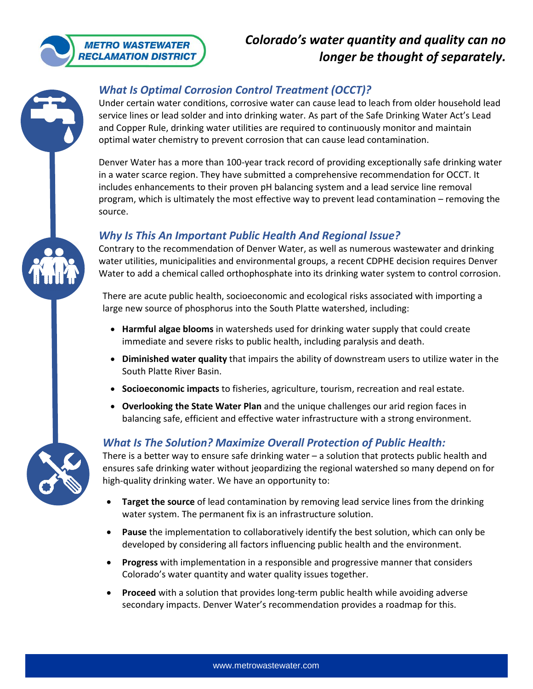

# *Colorado's water quantity and quality can no longer be thought of separately.*

## *What Is Optimal Corrosion Control Treatment (OCCT)?*

Under certain water conditions, corrosive water can cause lead to leach from older household lead service lines or lead solder and into drinking water. As part of the Safe Drinking Water Act's Lead and Copper Rule, drinking water utilities are required to continuously monitor and maintain optimal water chemistry to prevent corrosion that can cause lead contamination.

Denver Water has a more than 100-year track record of providing exceptionally safe drinking water in a water scarce region. They have submitted a comprehensive recommendation for OCCT. It includes enhancements to their proven pH balancing system and a lead service line removal program, which is ultimately the most effective way to prevent lead contamination – removing the source.

#### *Why Is This An Important Public Health And Regional Issue?*

Contrary to the recommendation of Denver Water, as well as numerous wastewater and drinking water utilities, municipalities and environmental groups, a recent CDPHE decision requires Denver Water to add a chemical called orthophosphate into its drinking water system to control corrosion.

There are acute public health, socioeconomic and ecological risks associated with importing a large new source of phosphorus into the South Platte watershed, including:

- **Harmful algae blooms** in watersheds used for drinking water supply that could create immediate and severe risks to public health, including paralysis and death.
- **Diminished water quality** that impairs the ability of downstream users to utilize water in the South Platte River Basin.
- **Socioeconomic impacts** to fisheries, agriculture, tourism, recreation and real estate.
- **Overlooking the State Water Plan** and the unique challenges our arid region faces in balancing safe, efficient and effective water infrastructure with a strong environment.

## *What Is The Solution? Maximize Overall Protection of Public Health:*

There is a better way to ensure safe drinking water – a solution that protects public health and ensures safe drinking water without jeopardizing the regional watershed so many depend on for high-quality drinking water. We have an opportunity to:

- **Target the source** of lead contamination by removing lead service lines from the drinking water system. The permanent fix is an infrastructure solution.
- **Pause** the implementation to collaboratively identify the best solution, which can only be developed by considering all factors influencing public health and the environment.
- **Progress** with implementation in a responsible and progressive manner that considers Colorado's water quantity and water quality issues together.
- **Proceed** with a solution that provides long-term public health while avoiding adverse secondary impacts. Denver Water's recommendation provides a roadmap for this.